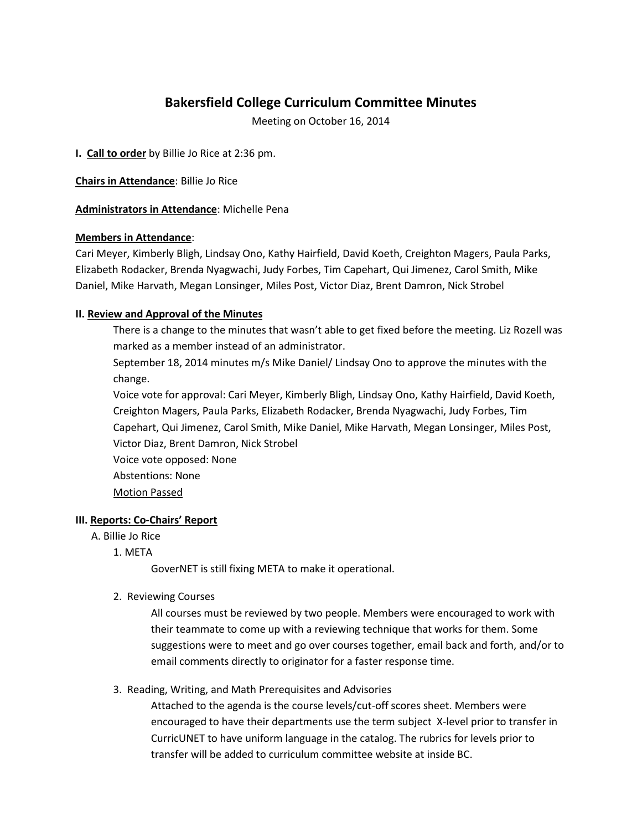# **Bakersfield College Curriculum Committee Minutes**

Meeting on October 16, 2014

**I. Call to order** by Billie Jo Rice at 2:36 pm.

**Chairs in Attendance**: Billie Jo Rice

**Administrators in Attendance**: Michelle Pena

# **Members in Attendance**:

Cari Meyer, Kimberly Bligh, Lindsay Ono, Kathy Hairfield, David Koeth, Creighton Magers, Paula Parks, Elizabeth Rodacker, Brenda Nyagwachi, Judy Forbes, Tim Capehart, Qui Jimenez, Carol Smith, Mike Daniel, Mike Harvath, Megan Lonsinger, Miles Post, Victor Diaz, Brent Damron, Nick Strobel

# **II. Review and Approval of the Minutes**

There is a change to the minutes that wasn't able to get fixed before the meeting. Liz Rozell was marked as a member instead of an administrator.

September 18, 2014 minutes m/s Mike Daniel/ Lindsay Ono to approve the minutes with the change.

Voice vote for approval: Cari Meyer, Kimberly Bligh, Lindsay Ono, Kathy Hairfield, David Koeth, Creighton Magers, Paula Parks, Elizabeth Rodacker, Brenda Nyagwachi, Judy Forbes, Tim Capehart, Qui Jimenez, Carol Smith, Mike Daniel, Mike Harvath, Megan Lonsinger, Miles Post, Victor Diaz, Brent Damron, Nick Strobel

Voice vote opposed: None Abstentions: None Motion Passed

# **III. Reports: Co-Chairs' Report**

# A. Billie Jo Rice

1. META

GoverNET is still fixing META to make it operational.

## 2. Reviewing Courses

All courses must be reviewed by two people. Members were encouraged to work with their teammate to come up with a reviewing technique that works for them. Some suggestions were to meet and go over courses together, email back and forth, and/or to email comments directly to originator for a faster response time.

# 3. Reading, Writing, and Math Prerequisites and Advisories

Attached to the agenda is the course levels/cut-off scores sheet. Members were encouraged to have their departments use the term subject X-level prior to transfer in CurricUNET to have uniform language in the catalog. The rubrics for levels prior to transfer will be added to curriculum committee website at inside BC.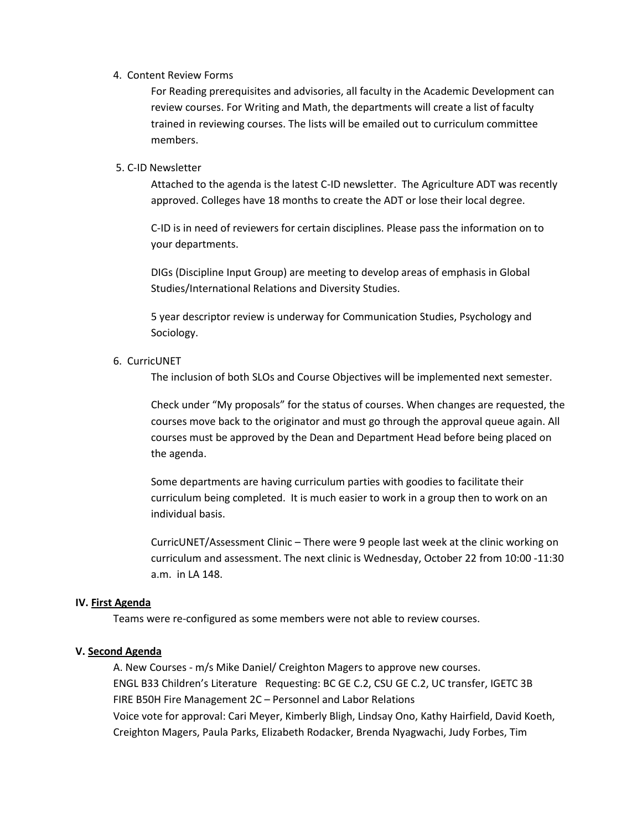#### 4. Content Review Forms

For Reading prerequisites and advisories, all faculty in the Academic Development can review courses. For Writing and Math, the departments will create a list of faculty trained in reviewing courses. The lists will be emailed out to curriculum committee members.

# 5. C-ID Newsletter

Attached to the agenda is the latest C-ID newsletter. The Agriculture ADT was recently approved. Colleges have 18 months to create the ADT or lose their local degree.

C-ID is in need of reviewers for certain disciplines. Please pass the information on to your departments.

DIGs (Discipline Input Group) are meeting to develop areas of emphasis in Global Studies/International Relations and Diversity Studies.

5 year descriptor review is underway for Communication Studies, Psychology and Sociology.

# 6. CurricUNET

The inclusion of both SLOs and Course Objectives will be implemented next semester.

Check under "My proposals" for the status of courses. When changes are requested, the courses move back to the originator and must go through the approval queue again. All courses must be approved by the Dean and Department Head before being placed on the agenda.

Some departments are having curriculum parties with goodies to facilitate their curriculum being completed. It is much easier to work in a group then to work on an individual basis.

CurricUNET/Assessment Clinic – There were 9 people last week at the clinic working on curriculum and assessment. The next clinic is Wednesday, October 22 from 10:00 -11:30 a.m. in LA 148.

## **IV. First Agenda**

Teams were re-configured as some members were not able to review courses.

## **V. Second Agenda**

A. New Courses - m/s Mike Daniel/ Creighton Magers to approve new courses. ENGL B33 Children's Literature Requesting: BC GE C.2, CSU GE C.2, UC transfer, IGETC 3B FIRE B50H Fire Management 2C – Personnel and Labor Relations Voice vote for approval: Cari Meyer, Kimberly Bligh, Lindsay Ono, Kathy Hairfield, David Koeth, Creighton Magers, Paula Parks, Elizabeth Rodacker, Brenda Nyagwachi, Judy Forbes, Tim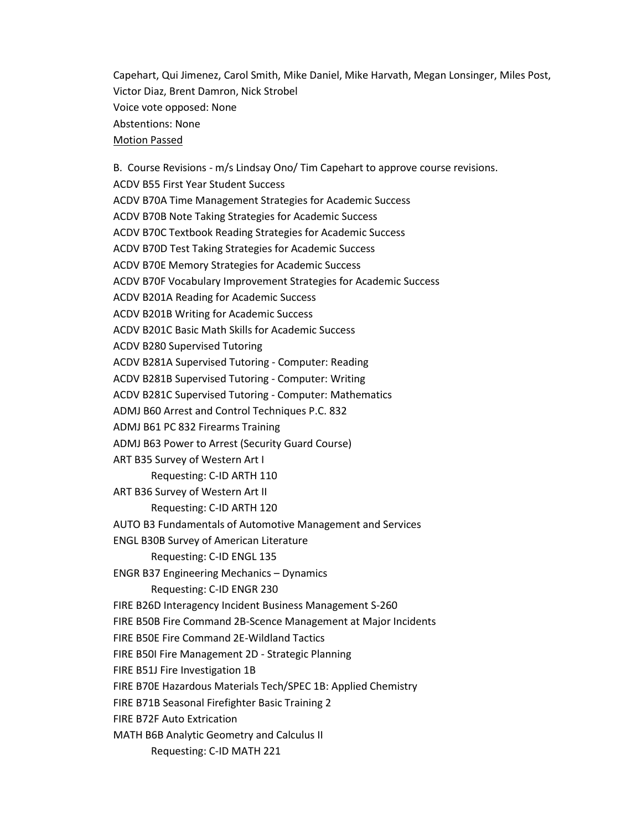Capehart, Qui Jimenez, Carol Smith, Mike Daniel, Mike Harvath, Megan Lonsinger, Miles Post, Victor Diaz, Brent Damron, Nick Strobel Voice vote opposed: None Abstentions: None Motion Passed

B. Course Revisions - m/s Lindsay Ono/ Tim Capehart to approve course revisions. ACDV B55 First Year Student Success ACDV B70A Time Management Strategies for Academic Success ACDV B70B Note Taking Strategies for Academic Success ACDV B70C Textbook Reading Strategies for Academic Success ACDV B70D Test Taking Strategies for Academic Success ACDV B70E Memory Strategies for Academic Success ACDV B70F Vocabulary Improvement Strategies for Academic Success ACDV B201A Reading for Academic Success ACDV B201B Writing for Academic Success ACDV B201C Basic Math Skills for Academic Success ACDV B280 Supervised Tutoring ACDV B281A Supervised Tutoring - Computer: Reading ACDV B281B Supervised Tutoring - Computer: Writing ACDV B281C Supervised Tutoring - Computer: Mathematics ADMJ B60 Arrest and Control Techniques P.C. 832 ADMJ B61 PC 832 Firearms Training ADMJ B63 Power to Arrest (Security Guard Course) ART B35 Survey of Western Art I Requesting: C-ID ARTH 110 ART B36 Survey of Western Art II Requesting: C-ID ARTH 120 AUTO B3 Fundamentals of Automotive Management and Services ENGL B30B Survey of American Literature Requesting: C-ID ENGL 135 ENGR B37 Engineering Mechanics – Dynamics Requesting: C-ID ENGR 230 FIRE B26D Interagency Incident Business Management S-260 FIRE B50B Fire Command 2B-Scence Management at Major Incidents FIRE B50E Fire Command 2E-Wildland Tactics FIRE B50I Fire Management 2D - Strategic Planning FIRE B51J Fire Investigation 1B FIRE B70E Hazardous Materials Tech/SPEC 1B: Applied Chemistry FIRE B71B Seasonal Firefighter Basic Training 2 FIRE B72F Auto Extrication MATH B6B Analytic Geometry and Calculus II Requesting: C-ID MATH 221